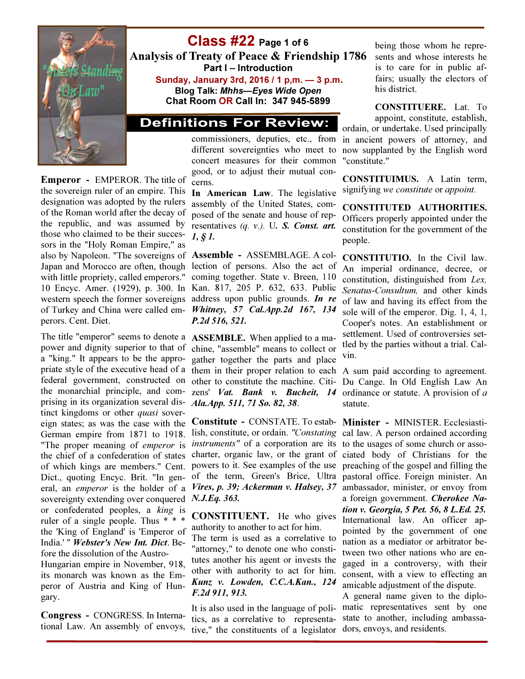

# Class #22 Page 1 of 6

Analysis of Treaty of Peace & Friendship 1786 Part I – Introduction

 Sunday, January 3rd, 2016 / 1 p,m. — 3 p.m. Blog Talk: Mhhs—Eyes Wide Open Chat Room OR Call In: 347 945-5899

# **Definitions For Review:**

commissioners, deputies, etc., from different sovereignties who meet to concert measures for their common good, or to adjust their mutual concerns.

In American Law. The legislative assembly of the United States, composed of the senate and house of representatives  $(q, v)$ . U. S. Const. art. 1, § 1.

also by Napoleon. "The sovereigns of Assemble - ASSEMBLAGE. A col-Japan and Morocco are often, though lection of persons. Also the act of 10 Encyc. Amer. (1929), p. 300. In Kan. 817, 205 P. 632, 633. Public western speech the former sovereigns address upon public grounds. In re of Turkey and China were called em- Whitney, 57 Cal.App.2d 167, 134 coming together. State v. Breen, 110 P.2d 516, 521.

Constitute - CONSTATE. To estab-Minister - MINISTER. Ecclesiastilish, constitute, or ordain. "Constating cal law. A person ordained according instruments" of a corporation are its to the usages of some church or assocharter, organic law, or the grant of powers to it. See examples of the use of the term, Green's Brice, Ultra Vires, p. 39; Ackerman v. Halsey, 37

CONSTITUENT. He who gives authority to another to act for him.

The term is used as a correlative to "attorney," to denote one who constitutes another his agent or invests the other with authority to act for him. Kunz v. Lowden, C.C.A.Kan., 124 F.2d 911, 913.

It is also used in the language of politics, as a correlative to representative," the constituents of a legislator dors, envoys, and residents.

being those whom he represents and whose interests he is to care for in public affairs; usually the electors of his district.

CONSTITUERE. Lat. To appoint, constitute, establish, ordain, or undertake. Used principally in ancient powers of attorney, and now supplanted by the English word "constitute."

CONSTITUIMUS. A Latin term, signifying we constitute or appoint.

CONSTITUTED AUTHORITIES. Officers properly appointed under the constitution for the government of the people.

CONSTITUTIO. In the Civil law. An imperial ordinance, decree, or constitution, distinguished from Lex, Senatus-Consultum, and other kinds of law and having its effect from the sole will of the emperor. Dig. 1, 4, 1, Cooper's notes. An establishment or settlement. Used of controversies settled by the parties without a trial. Calvin.

A sum paid according to agreement. Du Cange. In Old English Law An ordinance or statute. A provision of a statute.

ciated body of Christians for the preaching of the gospel and filling the pastoral office. Foreign minister. An ambassador, minister, or envoy from a foreign government. Cherokee Nation v. Georgia, 5 Pet. 56, 8 L.Ed. 25. International law. An officer appointed by the government of one nation as a mediator or arbitrator between two other nations who are engaged in a controversy, with their consent, with a view to effecting an amicable adjustment of the dispute.

A general name given to the diplomatic representatives sent by one state to another, including ambassa-

Emperor - EMPEROR. The title of the sovereign ruler of an empire. This designation was adopted by the rulers of the Roman world after the decay of the republic, and was assumed by those who claimed to be their successors in the "Holy Roman Empire," as with little propriety, called emperors." perors. Cent. Diet.

The title "emperor" seems to denote a ASSEMBLE. When applied to a mapower and dignity superior to that of chine, "assemble" means to collect or a "king." It appears to be the appro-gather together the parts and place priate style of the executive head of a them in their proper relation to each federal government, constructed on other to constitute the machine. Citithe monarchial principle, and com- zens' Vat. Bank v. Bucheit, 14 prising in its organization several dis- *Ala.App.* 511, 71 So. 82, 38. tinct kingdoms or other *quasi* sovereign states; as was the case with the German empire from 1871 to 1918. "The proper meaning of emperor is the chief of a confederation of states of which kings are members." Cent. Dict., quoting Encyc. Brit. "In general, an emperor is the holder of a sovereignty extending over conquered  $N.J.Eq. 363$ . or confederated peoples, a king is ruler of a single people. Thus \* \* \* the 'King of England' is 'Emperor of India.' " Webster's New Int. Dict. Before the dissolution of the Austro-

Hungarian empire in November, 918, its monarch was known as the Emperor of Austria and King of Hungary.

Congress - CONGRESS. In International Law. An assembly of envoys,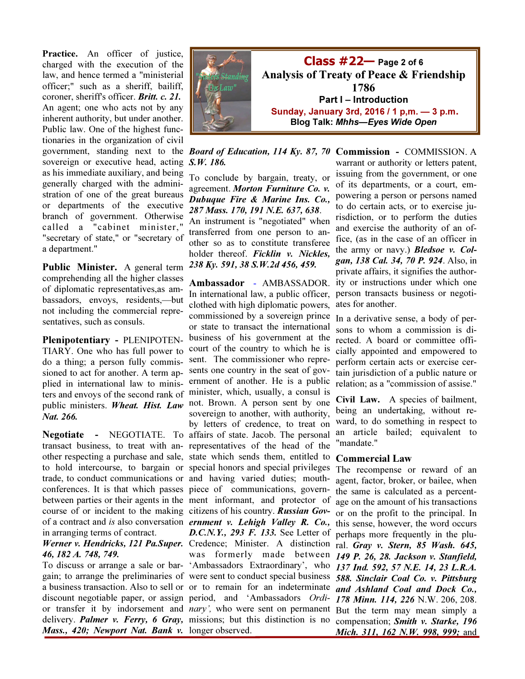Practice. An officer of justice, charged with the execution of the law, and hence termed a "ministerial officer;" such as a sheriff, bailiff, coroner, sheriff's officer. Britt. c. 21. An agent; one who acts not by any inherent authority, but under another. Public law. One of the highest functionaries in the organization of civil sovereign or executive head, acting as his immediate auxiliary, and being generally charged with the administration of one of the great bureaus or departments of the executive branch of government. Otherwise called a "cabinet minister," "secretary of state," or "secretary of a department."

Public Minister. A general term comprehending all the higher classes of diplomatic representatives,as ambassadors, envoys, residents,—but not including the commercial representatives, such as consuls.

Plenipotentiary - PLENIPOTEN-TIARY. One who has full power to do a thing; a person fully commissioned to act for another. A term applied in international law to ministers and envoys of the second rank of public ministers. Wheat. Hist. Law Nat. 266.

trade, to conduct communications or and having varied duties; mouthconferences. It is that which passes piece of communications, governcourse of or incident to the making citizens of his country. Russian Govin arranging terms of contract.

# 46, 182 A. 748, 749.

Mass., 420; Newport Nat. Bank v. longer observed.



#### government, standing next to the *Board of Education*, 114 Ky. 87, 70 Commission - COMMISSION. A S.W. 186.

To conclude by bargain, treaty, or agreement. Morton Furniture Co. v. Dubuque Fire & Marine Ins. Co., 287 Mass. 170, 191 N.E. 637, 638. An instrument is "negotiated" when transferred from one person to another so as to constitute transferee holder thereof. Ficklin v. Nickles. 238 Ky. 591, 38 S.W.2d 456, 459.

Negotiate - NEGOTIATE. To affairs of state. Jacob. The personal transact business, to treat with an-representatives of the head of the other respecting a purchase and sale, state which sends them, entitled to to hold intercourse, to bargain or special honors and special privileges between parties or their agents in the ment informant, and protector of of a contract and is also conversation ernment v. Lehigh Valley R. Co., Werner v. Hendricks, 121 Pa. Super. Credence; Minister. A distinction ral. Gray v. Stern, 85 Wash. 645, To discuss or arrange a sale or bar- 'Ambassadors Extraordinary', who 137 Ind. 592, 57 N.E. 14, 23 L.R.A. gain; to arrange the preliminaries of were sent to conduct special business 588. Sinclair Coal Co. v. Pittsburg a business transaction. Also to sell or or to remain for an indeterminate and Ashland Coal and Dock Co., discount negotiable paper, or assign period, and 'Ambassadors *Ordi- 178 Minn. 114, 226* N.W. 206, 208. or transfer it by indorsement and *nary*', who were sent on permanent But the term may mean simply a delivery. Palmer v. Ferry, 6 Gray, missions; but this distinction is no compensation; Smith v. Starke, 196 Ambassador - AMBASSADOR. ity or instructions under which one In international law, a public officer, clothed with high diplomatic powers, commissioned by a sovereign prince or state to transact the international business of his government at the court of the country to which he is sent. The commissioner who represents one country in the seat of government of another. He is a public minister, which, usually, a consul is not. Brown. A person sent by one sovereign to another, with authority, by letters of credence, to treat on **D.C.N.Y., 293 F. 133.** See Letter of was formerly made between 149 P. 26, 28. Jackson v. Stanfield,

warrant or authority or letters patent, issuing from the government, or one of its departments, or a court, empowering a person or persons named to do certain acts, or to exercise jurisdiction, or to perform the duties and exercise the authority of an office, (as in the case of an officer in the army or navy.) **Bledsoe** v. Colgan, 138 Cal. 34, 70 P. 924. Also, in private affairs, it signifies the authorperson transacts business or negotiates for another.

In a derivative sense, a body of persons to whom a commission is directed. A board or committee officially appointed and empowered to perform certain acts or exercise certain jurisdiction of a public nature or relation; as a "commission of assise."

Civil Law. A species of bailment, being an undertaking, without reward, to do something in respect to an article bailed; equivalent to "mandate."

#### Commercial Law

The recompense or reward of an agent, factor, broker, or bailee, when the same is calculated as a percentage on the amount of his transactions or on the profit to the principal. In this sense, however, the word occurs perhaps more frequently in the plu-Mich. 311, 162 N.W. 998, 999; and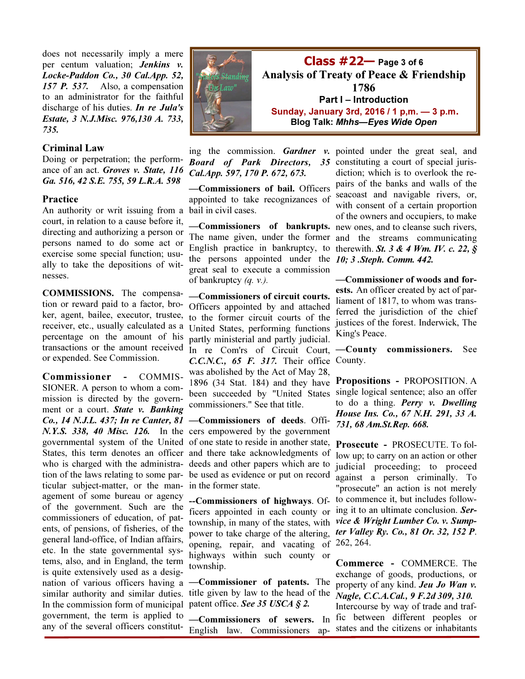does not necessarily imply a mere per centum valuation; Jenkins v. Locke-Paddon Co., 30 Cal.App. 52, 157 P. 537. Also, a compensation to an administrator for the faithful discharge of his duties. In re Jula's Estate, 3 N.J.Misc. 976,130 A. 733, 735.

#### Criminal Law

Doing or perpetration; the performance of an act. Groves v. State, 116 Ga. 516, 42 S.E. 755, 59 L.R.A. 598

#### Practice

An authority or writ issuing from a court, in relation to a cause before it, directing and authorizing a person or persons named to do some act or exercise some special function; usually to take the depositions of witnesses.

COMMISSIONS. The compensation or reward paid to a factor, broker, agent, bailee, executor, trustee, receiver, etc., usually calculated as a percentage on the amount of his transactions or the amount received or expended. See Commission.

Commissioner - COMMIS-SIONER. A person to whom a commission is directed by the government or a court. State v. Banking Co., 14 N.J.L. 437; In re Canter, 81 N.Y.S. 338, 40 Misc. 126. In the cers empowered by the government governmental system of the United of one state to reside in another state, States, this term denotes an officer and there take acknowledgments of who is charged with the administration of the laws relating to some particular subject-matter, or the man-in the former state. agement of some bureau or agency of the government. Such are the commissioners of education, of patents, of pensions, of fisheries, of the general land-office, of Indian affairs, etc. In the state governmental systems, also, and in England, the term is quite extensively used as a designation of various officers having a similar authority and similar duties. In the commission form of municipal government, the term is applied to any of the several officers constitut-



ing the commission. Gardner Board of Park Directors, Cal.App. 597, 170 P. 672, 673.

—Commissioners of bail. Officers appointed to take recognizances of bail in civil cases.

—Commissioners of bankrupts. new ones, and to cleanse such rivers, The name given, under the former English practice in bankruptcy, to the persons appointed under the  $10$ ; 3. Steph. Comm. 442. great seal to execute a commission of bankruptcy  $(q, v)$ .

—Commissioners of circuit courts. Officers appointed by and attached to the former circuit courts of the United States, performing functions partly ministerial and partly judicial. In re Com'rs of Circuit Court, **-County commissioners.** See C.C.N.C., 65 F. 317. Their office County. was abolished by the Act of May 28, 1896 (34 Stat. 184) and they have been succeeded by "United States commissioners." See that title.

—Commissioners of deeds. Offideeds and other papers which are to be used as evidence or put on record

ficers appointed in each county or township, in many of the states, with vice & Wright Lumber Co. v. Sumppower to take charge of the altering, opening, repair, and vacating of highways within such county or township.

—Commissioner of patents. The title given by law to the head of the patent office. See 35 USCA § 2.

—Commissioners of sewers. In English law. Commissioners ap-

 $\nu$ , pointed under the great seal, and 35 constituting a court of special jurisdiction; which is to overlook the repairs of the banks and walls of the seacoast and navigable rivers, or, with consent of a certain proportion of the owners and occupiers, to make and the streams communicating therewith. St. 3 & 4 Wm. IV. c. 22,  $\hat{S}$ 

—Commissioner of woods and forests. An officer created by act of parliament of 1817, to whom was transferred the jurisdiction of the chief justices of the forest. Inderwick, The King's Peace.

Propositions - PROPOSITION. A single logical sentence; also an offer to do a thing. Perry v. Dwelling House Ins. Co., 67 N.H. 291, 33 A. 731, 68 Am.St.Rep. 668.

--Commissioners of highways. Of- to commence it, but includes follow-Prosecute - PROSECUTE. To follow up; to carry on an action or other judicial proceeding; to proceed against a person criminally. To "prosecute" an action is not merely ing it to an ultimate conclusion. Serter Valley Ry. Co., 81 Or. 32, 152 P. 262, 264.

> Commerce - COMMERCE. The exchange of goods, productions, or property of any kind. Jeu Jo Wan v. Nagle, C.C.A.Cal., 9 F.2d 309, 310.

Intercourse by way of trade and traffic between different peoples or states and the citizens or inhabitants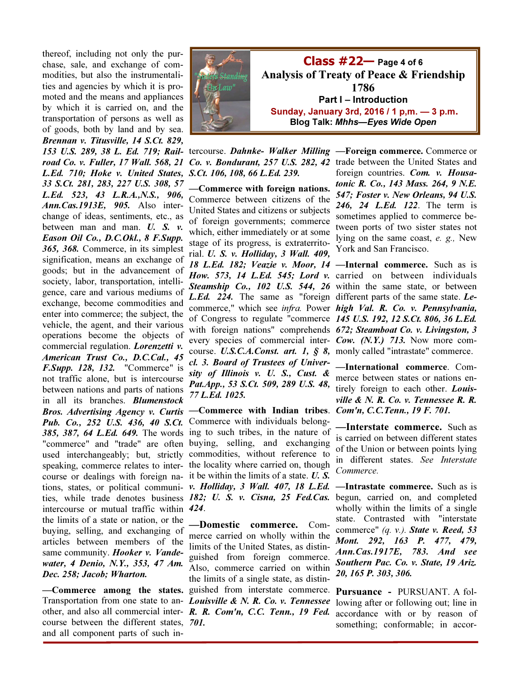thereof, including not only the purchase, sale, and exchange of commodities, but also the instrumentalities and agencies by which it is promoted and the means and appliances by which it is carried on, and the transportation of persons as well as of goods, both by land and by sea. Brennan v. Titusville, 14 S.Ct. 829, 153 U.S. 289, 38 L. Ed. 719; Railroad Co. v. Fuller, 17 Wall. 568, 21 L.Ed. 710; Hoke v. United States, 33 S.Ct. 281, 283, 227 U.S. 308, 57 L.Ed. 523, 43 L.R.A.,N.S., 906, Ann.Cas.1913E, 905. Also interchange of ideas, sentiments, etc., as between man and man.  $U$ .  $S$ .  $\nu$ . Eason Oil Co., D.C.Okl., 8 F.Supp. 365, 368. Commerce, in its simplest signification, means an exchange of goods; but in the advancement of society, labor, transportation, intelligence, care and various mediums of exchange, become commodities and enter into commerce; the subject, the vehicle, the agent, and their various operations become the objects of commercial regulation. *Lorenzetti* v. American Trust Co., D.C.Cal., 45 F.Supp. 128, 132. "Commerce" is not traffic alone, but is intercourse between nations and parts of nations in all its branches. Blumenstock Bros. Advertising Agency v. Curtis Pub. Co., 252 U.S. 436, 40 S.Ct. 385, 387, 64 L.Ed. 649. The words ing to such tribes, in the nature of "commerce" and "trade" are often buying, selling, and exchanging used interchangeably; but, strictly commodities, without reference to speaking, commerce relates to inter-the locality where carried on, though course or dealings with foreign na- it be within the limits of a state.  $U$ . S. tions, states, or political communi- v. Holliday, 3 Wall. 407, 18 L.Ed. ties, while trade denotes business 182; U. S. v. Cisna, 25 Fed.Cas. intercourse or mutual traffic within 424. the limits of a state or nation, or the buying, selling, and exchanging of articles between members of the same community. Hooker v. Vandewater, 4 Denio, N.Y., 353, 47 Am. Dec. 258; Jacob; Wharton.

course between the different states, 701. and all component parts of such in-



tercourse. Dahnke- Walker Milling - Foreign commerce. Commerce or Co. v. Bondurant, 257 U.S. 282, 42 trade between the United States and S.Ct. 106, 108, 66 L.Ed. 239.

—Commerce with foreign nations. Commerce between citizens of the United States and citizens or subjects of foreign governments; commerce which, either immediately or at some stage of its progress, is extraterritorial. U. S. v. Holliday, 3 Wall. 409, 18 L.Ed. 182; Veazie v. Moor, 14 - Internal commerce. Such as is every species of commercial inter- *Cow. (N.Y.) 713*. Now more comcourse. *U.S.C.A.Const. art. 1,*  $\oint$  *8*, monly called "intrastate" commerce. cl. 3. Board of Trustees of University of Illinois v. U. S., Cust. & Pat. App., 53 S.Ct. 509, 289 U.S. 48, 77 L.Ed. 1025.

—Commerce with Indian tribes. Com'n, C.C.Tenn., 19 F. 701. Commerce with individuals belong-

-Commerce among the states. guished from interstate commerce. Pursuance - PURSUANT. A fol-Transportation from one state to an- *Louisville & N. R. Co. v. Tennessee* other, and also all commercial inter- R. R. Com'n, C.C. Tenn., 19 Fed. —Domestic commerce. Commerce carried on wholly within the limits of the United States, as distinguished from foreign commerce. Also, commerce carried on within the limits of a single state, as distin-

foreign countries. Com. v. Housatonic R. Co., 143 Mass. 264, 9 N.E. 547; Foster v. New Orleans, 94 U.S. 246, 24 *L.Ed.* 122. The term is sometimes applied to commerce between ports of two sister states not lying on the same coast, e. g., New York and San Francisco.

How. 573, 14 L.Ed. 545; Lord v. carried on between individuals Steamship Co., 102 U.S. 544, 26 within the same state, or between L.Ed. 224. The same as "foreign different parts of the same state. Lecommerce," which see infra. Power high Val. R. Co. v. Pennsylvania, of Congress to regulate "commerce 145 U.S. 192, 12 S.Ct. 806, 36 L.Ed. with foreign nations" comprehends 672; Steamboat Co. v. Livingston, 3

> —International commerce. Commerce between states or nations entirely foreign to each other. Louisville & N. R. Co. v. Tennessee R. R.

> —Interstate commerce. Such as is carried on between different states of the Union or between points lying in different states. See Interstate Commerce.

> —Intrastate commerce. Such as is begun, carried on, and completed wholly within the limits of a single state. Contrasted with "interstate commerce"  $(q, v)$ . State v. Reed, 53 Mont. 292, 163 P. 477, 479, Ann.Cas.1917E, 783. And see Southern Pac. Co. v. State, 19 Ariz. 20, 165 P. 303, 306.

> lowing after or following out; line in accordance with or by reason of something; conformable; in accor-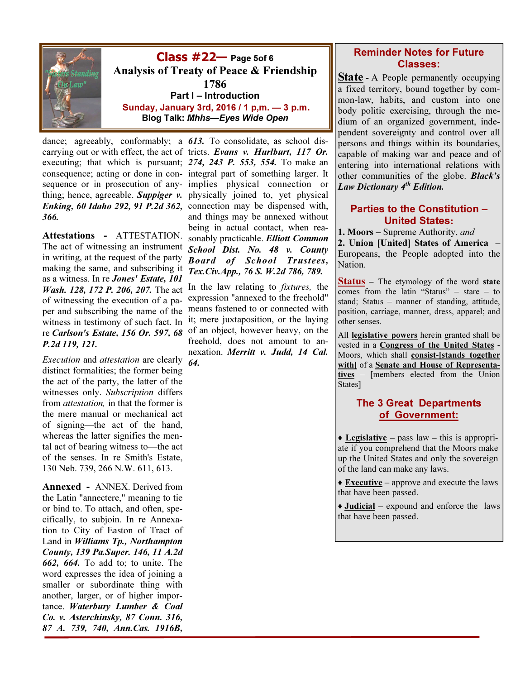

 $Class$   $#22$  Page 5of 6 Analysis of Treaty of Peace & Friendship 1786 Part I – Introduction Sunday, January 3rd, 2016 / 1 p,m. — 3 p.m. Blog Talk: Mhhs—Eyes Wide Open

dance; agreeably, conformably; a 613. To consolidate, as school dis-366.

Attestations - ATTESTATION. The act of witnessing an instrument in writing, at the request of the party making the same, and subscribing it as a witness. In re Jones' Estate, 101 Wash. 128, 172 P. 206, 207. The act of witnessing the execution of a paper and subscribing the name of the witness in testimony of such fact. In re Carlson's Estate, 156 Or. 597, 68 P.2d 119, 121.

Execution and attestation are clearly distinct formalities; the former being the act of the party, the latter of the witnesses only. Subscription differs from attestation, in that the former is the mere manual or mechanical act of signing—the act of the hand, whereas the latter signifies the mental act of bearing witness to—the act of the senses. In re Smith's Estate, 130 Neb. 739, 266 N.W. 611, 613.

Annexed - ANNEX. Derived from the Latin "annectere," meaning to tie or bind to. To attach, and often, specifically, to subjoin. In re Annexation to City of Easton of Tract of Land in Williams Tp., Northampton County, 139 Pa.Super. 146, 11 A.2d 662, 664. To add to; to unite. The word expresses the idea of joining a smaller or subordinate thing with another, larger, or of higher importance. Waterbury Lumber & Coal Co. v. Asterchinsky, 87 Conn. 316, 87 A. 739, 740, Ann.Cas. 1916B,

carrying out or with effect, the act of tricts. Evans v. Hurlburt, 117 Or. executing; that which is pursuant; 274, 243 P. 553, 554. To make an consequence; acting or done in con-integral part of something larger. It sequence or in prosecution of any-implies physical connection or thing; hence, agreeable. Suppiger v. physically joined to, yet physical Enking, 60 Idaho 292, 91 P.2d 362, connection may be dispensed with, and things may be annexed without being in actual contact, when reasonably practicable. Elliott Common School Dist. No. 48 v. County Board of School Trustees, Tex.Civ.App., 76 S. W.2d 786, 789.

> In the law relating to fixtures, the expression "annexed to the freehold" means fastened to or connected with it; mere juxtaposition, or the laying of an object, however heavy, on the freehold, does not amount to annexation. Merritt v. Judd. 14 Cal. 64.

### Reminder Notes for Future Classes:

**State** - A People permanently occupying a fixed territory, bound together by common-law, habits, and custom into one body politic exercising, through the medium of an organized government, independent sovereignty and control over all persons and things within its boundaries, capable of making war and peace and of entering into international relations with other communities of the globe. Black's Law Dictionary  $4^{th}$  Edition.

# Parties to the Constitution – United States:

1. Moors – Supreme Authority, and 2. Union [United] States of America – Europeans, the People adopted into the Nation.

**Status** – The etymology of the word state comes from the latin "Status" – stare – to stand; Status – manner of standing, attitude, position, carriage, manner, dress, apparel; and other senses.

All legislative powers herein granted shall be vested in a Congress of the United States - Moors, which shall consist-[stands together with] of a Senate and House of Representatives – [members elected from the Union States]

## The 3 Great Departments of Government:

 $\triangle$  Legislative – pass law – this is appropriate if you comprehend that the Moors make up the United States and only the sovereign of the land can make any laws.

 $\triangle$  **Executive** – approve and execute the laws that have been passed.

 $\triangleleft$  Judicial – expound and enforce the laws that have been passed.